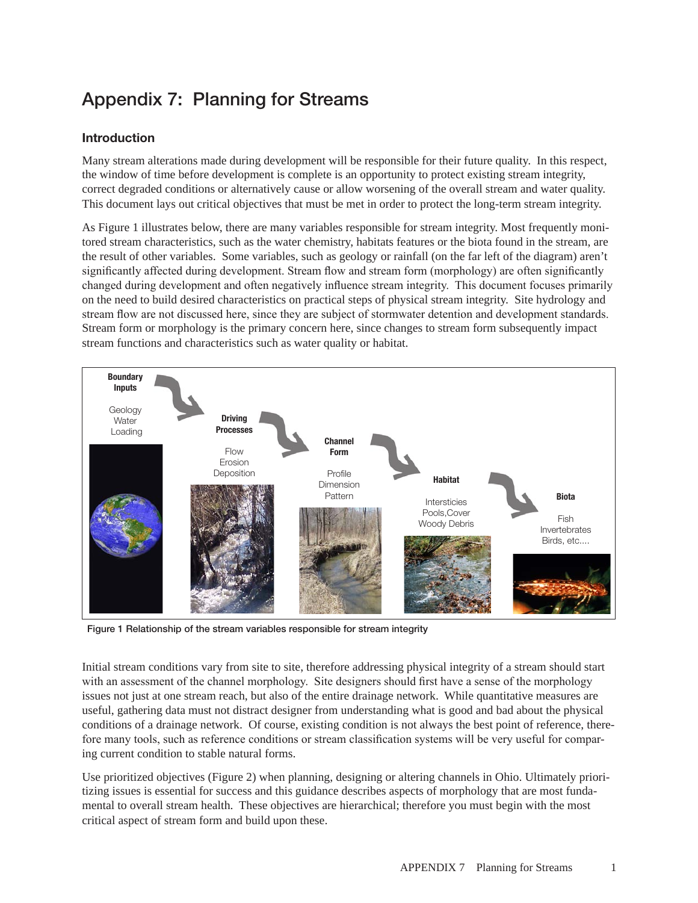# Appendix 7: Planning for Streams

## Introduction

Many stream alterations made during development will be responsible for their future quality. In this respect, the window of time before development is complete is an opportunity to protect existing stream integrity, correct degraded conditions or alternatively cause or allow worsening of the overall stream and water quality. This document lays out critical objectives that must be met in order to protect the long-term stream integrity.

As Figure 1 illustrates below, there are many variables responsible for stream integrity. Most frequently monitored stream characteristics, such as the water chemistry, habitats features or the biota found in the stream, are the result of other variables. Some variables, such as geology or rainfall (on the far left of the diagram) aren't significantly affected during development. Stream flow and stream form (morphology) are often significantly changed during development and often negatively influence stream integrity. This document focuses primarily on the need to build desired characteristics on practical steps of physical stream integrity. Site hydrology and stream flow are not discussed here, since they are subject of stormwater detention and development standards. Stream form or morphology is the primary concern here, since changes to stream form subsequently impact stream functions and characteristics such as water quality or habitat.



Figure 1 Relationship of the stream variables responsible for stream integrity

Initial stream conditions vary from site to site, therefore addressing physical integrity of a stream should start with an assessment of the channel morphology. Site designers should first have a sense of the morphology issues not just at one stream reach, but also of the entire drainage network. While quantitative measures are useful, gathering data must not distract designer from understanding what is good and bad about the physical conditions of a drainage network. Of course, existing condition is not always the best point of reference, therefore many tools, such as reference conditions or stream classification systems will be very useful for comparing current condition to stable natural forms.

Use prioritized objectives (Figure 2) when planning, designing or altering channels in Ohio. Ultimately prioritizing issues is essential for success and this guidance describes aspects of morphology that are most fundamental to overall stream health. These objectives are hierarchical; therefore you must begin with the most critical aspect of stream form and build upon these.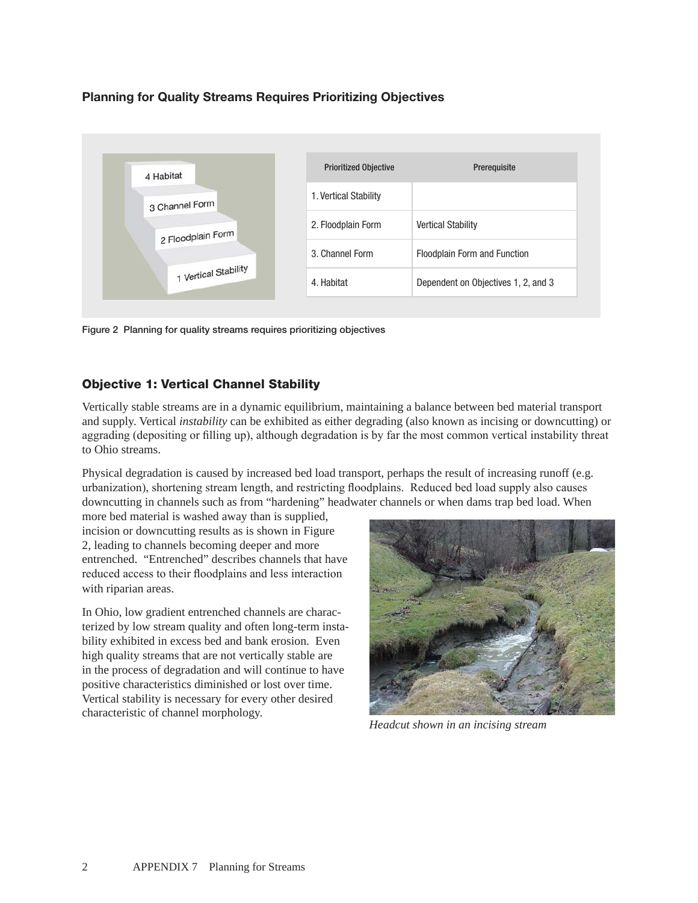## Planning for Quality Streams Requires Prioritizing Objectives



Figure 2 Planning for quality streams requires prioritizing objectives

#### Objective 1: Vertical Channel Stability

Vertically stable streams are in a dynamic equilibrium, maintaining a balance between bed material transport and supply. Vertical *instability* can be exhibited as either degrading (also known as incising or downcutting) or aggrading (depositing or filling up), although degradation is by far the most common vertical instability threat to Ohio streams.

Physical degradation is caused by increased bed load transport, perhaps the result of increasing runoff (e.g. urbanization), shortening stream length, and restricting floodplains. Reduced bed load supply also causes downcutting in channels such as from "hardening" headwater channels or when dams trap bed load. When

more bed material is washed away than is supplied, incision or downcutting results as is shown in Figure 2, leading to channels becoming deeper and more entrenched. "Entrenched" describes channels that have reduced access to their floodplains and less interaction with riparian areas.

In Ohio, low gradient entrenched channels are characterized by low stream quality and often long-term instability exhibited in excess bed and bank erosion. Even high quality streams that are not vertically stable are in the process of degradation and will continue to have positive characteristics diminished or lost over time. Vertical stability is necessary for every other desired characteristic of channel morphology.



*Headcut shown in an incising stream*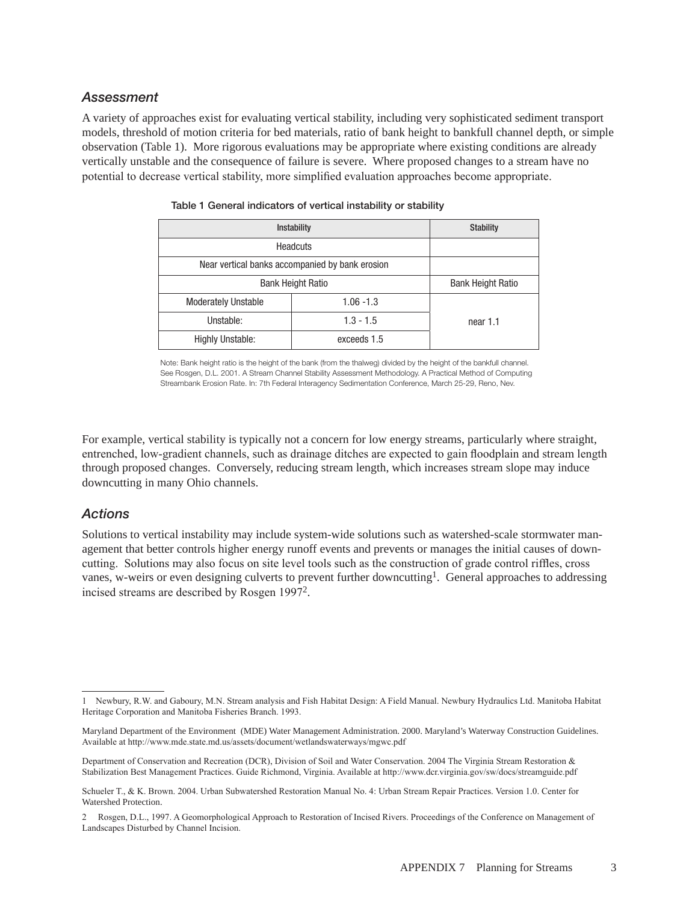#### *Assessment*

A variety of approaches exist for evaluating vertical stability, including very sophisticated sediment transport models, threshold of motion criteria for bed materials, ratio of bank height to bankfull channel depth, or simple observation (Table 1). More rigorous evaluations may be appropriate where existing conditions are already vertically unstable and the consequence of failure is severe. Where proposed changes to a stream have no potential to decrease vertical stability, more simplified evaluation approaches become appropriate.

| <b>Instability</b>                              | <b>Stability</b>         |          |
|-------------------------------------------------|--------------------------|----------|
| Headcuts                                        |                          |          |
| Near vertical banks accompanied by bank erosion |                          |          |
| <b>Bank Height Ratio</b>                        | <b>Bank Height Ratio</b> |          |
| <b>Moderately Unstable</b>                      | $1.06 - 1.3$             |          |
| Unstable:                                       | $1.3 - 1.5$              | near 1.1 |
| <b>Highly Unstable:</b>                         | exceeds 1.5              |          |

|  |  | Table 1 General indicators of vertical instability or stability |
|--|--|-----------------------------------------------------------------|
|  |  |                                                                 |

Note: Bank height ratio is the height of the bank (from the thalweg) divided by the height of the bankfull channel. See Rosgen, D.L. 2001. A Stream Channel Stability Assessment Methodology. A Practical Method of Computing Streambank Erosion Rate. In: 7th Federal Interagency Sedimentation Conference, March 25-29, Reno, Nev.

For example, vertical stability is typically not a concern for low energy streams, particularly where straight, entrenched, low-gradient channels, such as drainage ditches are expected to gain floodplain and stream length through proposed changes. Conversely, reducing stream length, which increases stream slope may induce downcutting in many Ohio channels.

#### *Actions*

Solutions to vertical instability may include system-wide solutions such as watershed-scale stormwater management that better controls higher energy runoff events and prevents or manages the initial causes of downcutting. Solutions may also focus on site level tools such as the construction of grade control riffles, cross vanes, w-weirs or even designing culverts to prevent further downcutting<sup>1</sup>. General approaches to addressing incised streams are described by Rosgen 19972.

<sup>1</sup> Newbury, R.W. and Gaboury, M.N. Stream analysis and Fish Habitat Design: A Field Manual. Newbury Hydraulics Ltd. Manitoba Habitat Heritage Corporation and Manitoba Fisheries Branch. 1993.

Maryland Department of the Environment (MDE) Water Management Administration. 2000. Maryland's Waterway Construction Guidelines. Available at http://www.mde.state.md.us/assets/document/wetlandswaterways/mgwc.pdf

Department of Conservation and Recreation (DCR), Division of Soil and Water Conservation. 2004 The Virginia Stream Restoration & Stabilization Best Management Practices. Guide Richmond, Virginia. Available at http://www.dcr.virginia.gov/sw/docs/streamguide.pdf

Schueler T., & K. Brown. 2004. Urban Subwatershed Restoration Manual No. 4: Urban Stream Repair Practices. Version 1.0. Center for Watershed Protection.

<sup>2</sup> Rosgen, D.L., 1997. A Geomorphological Approach to Restoration of Incised Rivers. Proceedings of the Conference on Management of Landscapes Disturbed by Channel Incision.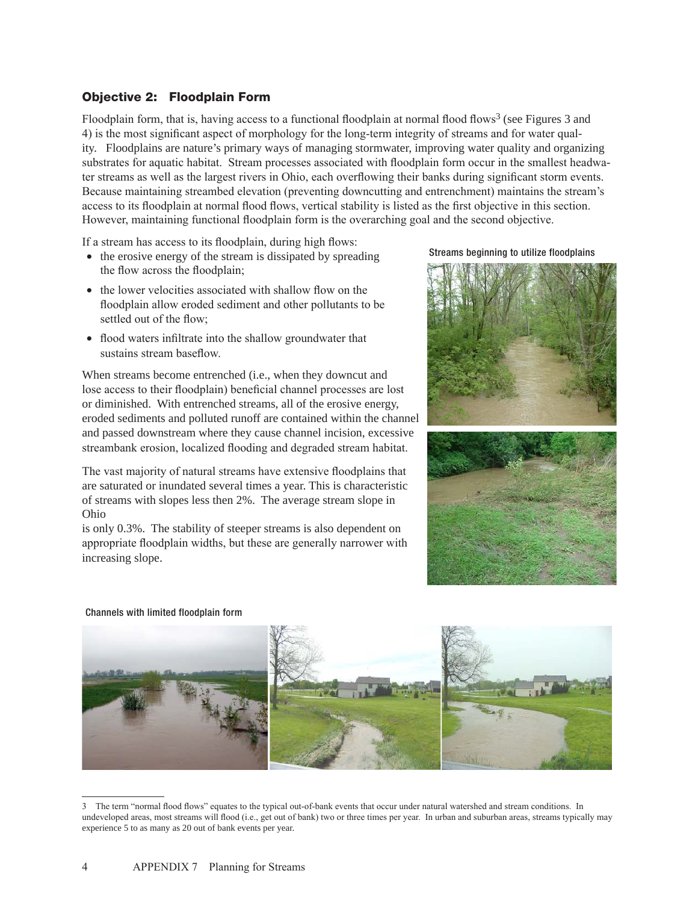#### Objective 2: Floodplain Form

Floodplain form, that is, having access to a functional floodplain at normal flood flows<sup>3</sup> (see Figures 3 and 4) is the most significant aspect of morphology for the long-term integrity of streams and for water quality. Floodplains are nature's primary ways of managing stormwater, improving water quality and organizing substrates for aquatic habitat. Stream processes associated with floodplain form occur in the smallest headwater streams as well as the largest rivers in Ohio, each overflowing their banks during significant storm events. Because maintaining streambed elevation (preventing downcutting and entrenchment) maintains the stream's access to its floodplain at normal flood flows, vertical stability is listed as the first objective in this section. However, maintaining functional floodplain form is the overarching goal and the second objective.

If a stream has access to its floodplain, during high flows:

- the erosive energy of the stream is dissipated by spreading the flow across the floodplain;
- the lower velocities associated with shallow flow on the floodplain allow eroded sediment and other pollutants to be settled out of the flow;
- flood waters infiltrate into the shallow groundwater that sustains stream baseflow.

When streams become entrenched (i.e., when they downcut and lose access to their floodplain) beneficial channel processes are lost or diminished. With entrenched streams, all of the erosive energy, eroded sediments and polluted runoff are contained within the channel and passed downstream where they cause channel incision, excessive streambank erosion, localized flooding and degraded stream habitat.

The vast majority of natural streams have extensive floodplains that are saturated or inundated several times a year. This is characteristic of streams with slopes less then 2%. The average stream slope in Ohio

is only 0.3%. The stability of steeper streams is also dependent on appropriate floodplain widths, but these are generally narrower with increasing slope.





#### Channels with limited floodplain form



<sup>3</sup> The term "normal flood flows" equates to the typical out-of-bank events that occur under natural watershed and stream conditions. In undeveloped areas, most streams will flood (i.e., get out of bank) two or three times per year. In urban and suburban areas, streams typically may experience 5 to as many as 20 out of bank events per year.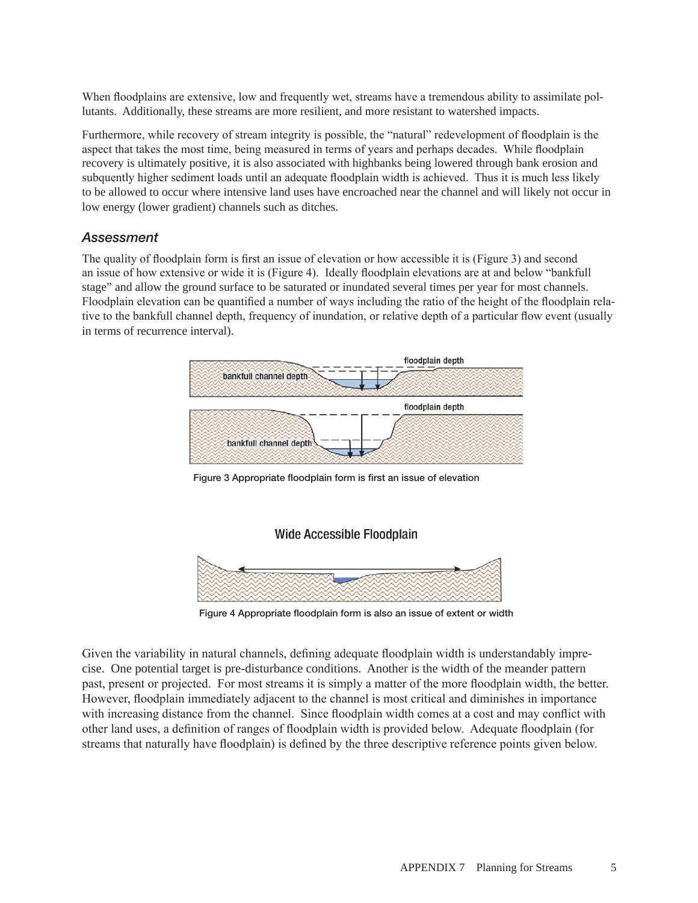When floodplains are extensive, low and frequently wet, streams have a tremendous ability to assimilate pollutants. Additionally, these streams are more resilient, and more resistant to watershed impacts.

Furthermore, while recovery of stream integrity is possible, the "natural" redevelopment of floodplain is the aspect that takes the most time, being measured in terms of years and perhaps decades. While floodplain recovery is ultimately positive, it is also associated with highbanks being lowered through bank erosion and subquently higher sediment loads until an adequate floodplain width is achieved. Thus it is much less likely to be allowed to occur where intensive land uses have encroached near the channel and will likely not occur in low energy (lower gradient) channels such as ditches.

### *Assessment*

The quality of floodplain form is first an issue of elevation or how accessible it is (Figure 3) and second an issue of how extensive or wide it is (Figure 4). Ideally floodplain elevations are at and below "bankfull stage" and allow the ground surface to be saturated or inundated several times per year for most channels. Floodplain elevation can be quantified a number of ways including the ratio of the height of the floodplain relative to the bankfull channel depth, frequency of inundation, or relative depth of a particular flow event (usually in terms of recurrence interval).



Figure 3 Appropriate floodplain form is first an issue of elevation

#### **Wide Accessible Floodplain**



Figure 4 Appropriate floodplain form is also an issue of extent or width

Given the variability in natural channels, defining adequate floodplain width is understandably imprecise. One potential target is pre-disturbance conditions. Another is the width of the meander pattern past, present or projected. For most streams it is simply a matter of the more floodplain width, the better. However, floodplain immediately adjacent to the channel is most critical and diminishes in importance with increasing distance from the channel. Since floodplain width comes at a cost and may conflict with other land uses, a definition of ranges of floodplain width is provided below. Adequate floodplain (for streams that naturally have floodplain) is defined by the three descriptive reference points given below.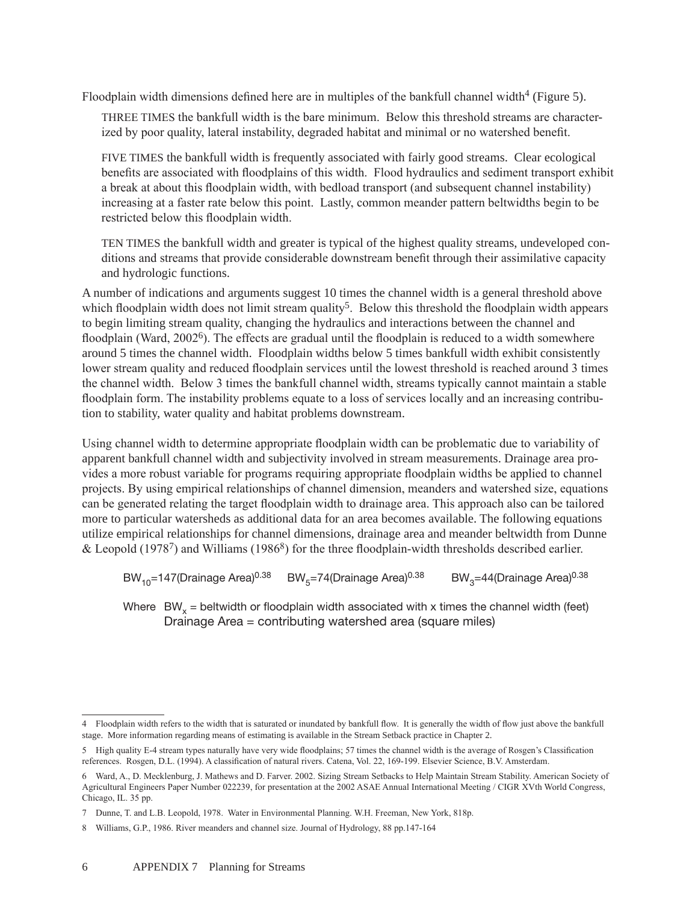Floodplain width dimensions defined here are in multiples of the bankfull channel width<sup>4</sup> (Figure 5).

Three times the bankfull width is the bare minimum. Below this threshold streams are characterized by poor quality, lateral instability, degraded habitat and minimal or no watershed benefit.

FIVE TIMES the bankfull width is frequently associated with fairly good streams. Clear ecological benefits are associated with floodplains of this width. Flood hydraulics and sediment transport exhibit a break at about this floodplain width, with bedload transport (and subsequent channel instability) increasing at a faster rate below this point. Lastly, common meander pattern beltwidths begin to be restricted below this floodplain width.

Ten times the bankfull width and greater is typical of the highest quality streams, undeveloped conditions and streams that provide considerable downstream benefit through their assimilative capacity and hydrologic functions.

A number of indications and arguments suggest 10 times the channel width is a general threshold above which floodplain width does not limit stream quality<sup>5</sup>. Below this threshold the floodplain width appears to begin limiting stream quality, changing the hydraulics and interactions between the channel and floodplain (Ward, 2002<sup>6</sup>). The effects are gradual until the floodplain is reduced to a width somewhere around 5 times the channel width. Floodplain widths below 5 times bankfull width exhibit consistently lower stream quality and reduced floodplain services until the lowest threshold is reached around 3 times the channel width. Below 3 times the bankfull channel width, streams typically cannot maintain a stable floodplain form. The instability problems equate to a loss of services locally and an increasing contribution to stability, water quality and habitat problems downstream.

Using channel width to determine appropriate floodplain width can be problematic due to variability of apparent bankfull channel width and subjectivity involved in stream measurements. Drainage area provides a more robust variable for programs requiring appropriate floodplain widths be applied to channel projects. By using empirical relationships of channel dimension, meanders and watershed size, equations can be generated relating the target floodplain width to drainage area. This approach also can be tailored more to particular watersheds as additional data for an area becomes available. The following equations utilize empirical relationships for channel dimensions, drainage area and meander beltwidth from Dunne & Leopold (1978<sup>7</sup>) and Williams (1986<sup>8</sup>) for the three floodplain-width thresholds described earlier.

BW<sub>10</sub>=147(Drainage Area)<sup>0.38</sup> BW<sub>5</sub>=74(Drainage Area)<sup>0.38</sup> BW<sub>3</sub>=44(Drainage Area)<sup>0.38</sup>

Where  $BW_x =$  beltwidth or floodplain width associated with x times the channel width (feet) Drainage Area = contributing watershed area (square miles)

<sup>4</sup> Floodplain width refers to the width that is saturated or inundated by bankfull flow. It is generally the width of flow just above the bankfull stage. More information regarding means of estimating is available in the Stream Setback practice in Chapter 2.

<sup>5</sup> High quality E-4 stream types naturally have very wide floodplains; 57 times the channel width is the average of Rosgen's Classification references. Rosgen, D.L. (1994). A classification of natural rivers. Catena, Vol. 22, 169-199. Elsevier Science, B.V. Amsterdam.

<sup>6</sup> Ward, A., D. Mecklenburg, J. Mathews and D. Farver. 2002. Sizing Stream Setbacks to Help Maintain Stream Stability. American Society of Agricultural Engineers Paper Number 022239, for presentation at the 2002 ASAE Annual International Meeting / CIGR XVth World Congress, Chicago, IL. 35 pp.

<sup>7</sup> Dunne, T. and L.B. Leopold, 1978. Water in Environmental Planning. W.H. Freeman, New York, 818p.

<sup>8</sup> Williams, G.P., 1986. River meanders and channel size. Journal of Hydrology, 88 pp.147-164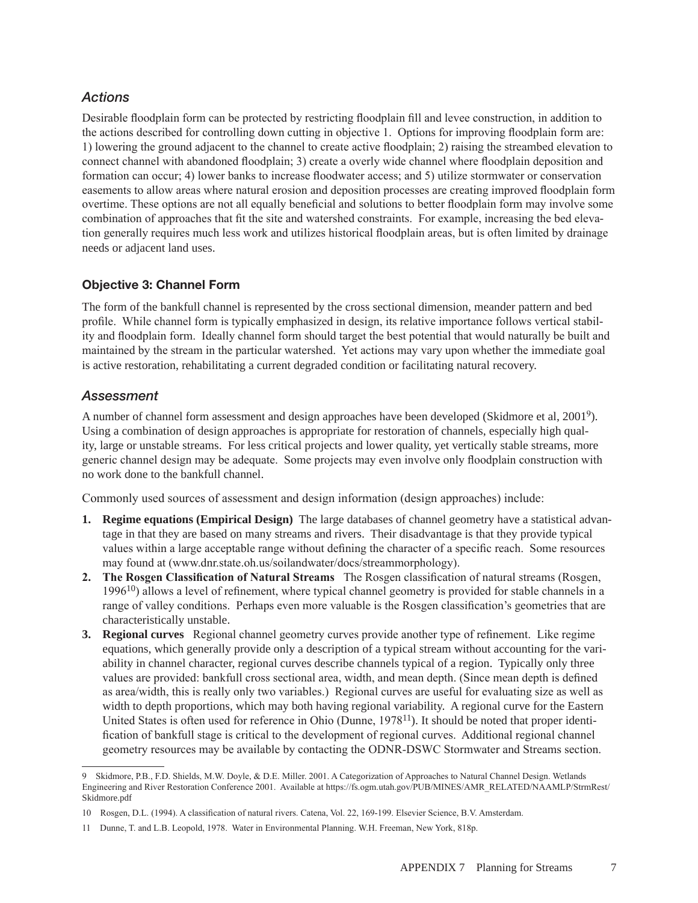## *Actions*

Desirable floodplain form can be protected by restricting floodplain fill and levee construction, in addition to the actions described for controlling down cutting in objective 1. Options for improving floodplain form are: 1) lowering the ground adjacent to the channel to create active floodplain; 2) raising the streambed elevation to connect channel with abandoned floodplain; 3) create a overly wide channel where floodplain deposition and formation can occur; 4) lower banks to increase floodwater access; and 5) utilize stormwater or conservation easements to allow areas where natural erosion and deposition processes are creating improved floodplain form overtime. These options are not all equally beneficial and solutions to better floodplain form may involve some combination of approaches that fit the site and watershed constraints. For example, increasing the bed elevation generally requires much less work and utilizes historical floodplain areas, but is often limited by drainage needs or adjacent land uses.

## Objective 3: Channel Form

The form of the bankfull channel is represented by the cross sectional dimension, meander pattern and bed profile. While channel form is typically emphasized in design, its relative importance follows vertical stability and floodplain form. Ideally channel form should target the best potential that would naturally be built and maintained by the stream in the particular watershed. Yet actions may vary upon whether the immediate goal is active restoration, rehabilitating a current degraded condition or facilitating natural recovery.

## *Assessment*

A number of channel form assessment and design approaches have been developed (Skidmore et al, 20019). Using a combination of design approaches is appropriate for restoration of channels, especially high quality, large or unstable streams. For less critical projects and lower quality, yet vertically stable streams, more generic channel design may be adequate. Some projects may even involve only floodplain construction with no work done to the bankfull channel.

Commonly used sources of assessment and design information (design approaches) include:

- **1. Regime equations (Empirical Design)** The large databases of channel geometry have a statistical advantage in that they are based on many streams and rivers. Their disadvantage is that they provide typical values within a large acceptable range without defining the character of a specific reach. Some resources may found at (www.dnr.state.oh.us/soilandwater/docs/streammorphology).
- **2. The Rosgen Classification of Natural Streams** The Rosgen classification of natural streams (Rosgen,  $1996<sup>10</sup>$ ) allows a level of refinement, where typical channel geometry is provided for stable channels in a range of valley conditions. Perhaps even more valuable is the Rosgen classification's geometries that are characteristically unstable.
- **3. Regional curves** Regional channel geometry curves provide another type of refinement. Like regime equations, which generally provide only a description of a typical stream without accounting for the variability in channel character, regional curves describe channels typical of a region. Typically only three values are provided: bankfull cross sectional area, width, and mean depth. (Since mean depth is defined as area/width, this is really only two variables.) Regional curves are useful for evaluating size as well as width to depth proportions, which may both having regional variability. A regional curve for the Eastern United States is often used for reference in Ohio (Dunne,  $1978<sup>11</sup>$ ). It should be noted that proper identification of bankfull stage is critical to the development of regional curves. Additional regional channel geometry resources may be available by contacting the ODNR-DSWC Stormwater and Streams section.

<sup>9</sup> Skidmore, P.B., F.D. Shields, M.W. Doyle, & D.E. Miller. 2001. A Categorization of Approaches to Natural Channel Design. Wetlands Engineering and River Restoration Conference 2001. Available at https://fs.ogm.utah.gov/PUB/MINES/AMR\_RELATED/NAAMLP/StrmRest/ Skidmore.pdf

<sup>10</sup> Rosgen, D.L. (1994). A classification of natural rivers. Catena, Vol. 22, 169-199. Elsevier Science, B.V. Amsterdam.

<sup>11</sup> Dunne, T. and L.B. Leopold, 1978. Water in Environmental Planning. W.H. Freeman, New York, 818p.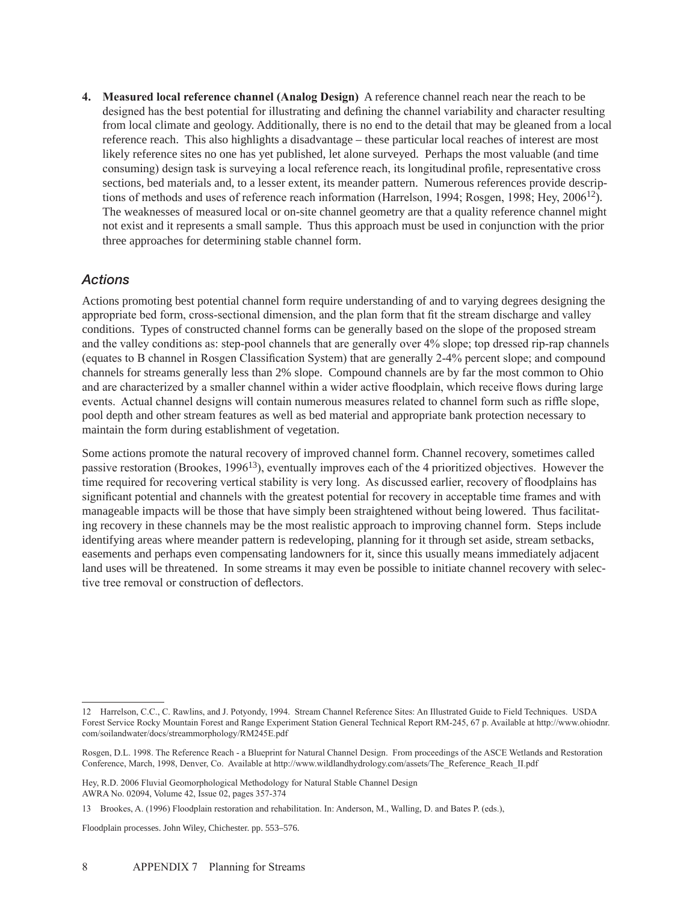**4. Measured local reference channel (Analog Design)** A reference channel reach near the reach to be designed has the best potential for illustrating and defining the channel variability and character resulting from local climate and geology. Additionally, there is no end to the detail that may be gleaned from a local reference reach. This also highlights a disadvantage – these particular local reaches of interest are most likely reference sites no one has yet published, let alone surveyed. Perhaps the most valuable (and time consuming) design task is surveying a local reference reach, its longitudinal profile, representative cross sections, bed materials and, to a lesser extent, its meander pattern. Numerous references provide descriptions of methods and uses of reference reach information (Harrelson, 1994; Rosgen, 1998; Hey,  $2006^{12}$ ). The weaknesses of measured local or on-site channel geometry are that a quality reference channel might not exist and it represents a small sample. Thus this approach must be used in conjunction with the prior three approaches for determining stable channel form.

### *Actions*

Actions promoting best potential channel form require understanding of and to varying degrees designing the appropriate bed form, cross-sectional dimension, and the plan form that fit the stream discharge and valley conditions. Types of constructed channel forms can be generally based on the slope of the proposed stream and the valley conditions as: step-pool channels that are generally over 4% slope; top dressed rip-rap channels (equates to B channel in Rosgen Classification System) that are generally 2-4% percent slope; and compound channels for streams generally less than 2% slope. Compound channels are by far the most common to Ohio and are characterized by a smaller channel within a wider active floodplain, which receive flows during large events. Actual channel designs will contain numerous measures related to channel form such as riffle slope, pool depth and other stream features as well as bed material and appropriate bank protection necessary to maintain the form during establishment of vegetation.

Some actions promote the natural recovery of improved channel form. Channel recovery, sometimes called passive restoration (Brookes, 1996<sup>13</sup>), eventually improves each of the 4 prioritized objectives. However the time required for recovering vertical stability is very long. As discussed earlier, recovery of floodplains has significant potential and channels with the greatest potential for recovery in acceptable time frames and with manageable impacts will be those that have simply been straightened without being lowered. Thus facilitating recovery in these channels may be the most realistic approach to improving channel form. Steps include identifying areas where meander pattern is redeveloping, planning for it through set aside, stream setbacks, easements and perhaps even compensating landowners for it, since this usually means immediately adjacent land uses will be threatened. In some streams it may even be possible to initiate channel recovery with selective tree removal or construction of deflectors.

Floodplain processes. John Wiley, Chichester. pp. 553–576.

<sup>12</sup> Harrelson, C.C., C. Rawlins, and J. Potyondy, 1994. Stream Channel Reference Sites: An Illustrated Guide to Field Techniques. USDA Forest Service Rocky Mountain Forest and Range Experiment Station General Technical Report RM-245, 67 p. Available at http://www.ohiodnr. com/soilandwater/docs/streammorphology/RM245E.pdf

Rosgen, D.L. 1998. The Reference Reach - a Blueprint for Natural Channel Design. From proceedings of the ASCE Wetlands and Restoration Conference, March, 1998, Denver, Co. Available at http://www.wildlandhydrology.com/assets/The\_Reference\_Reach\_II.pdf

Hey, R.D. 2006 Fluvial Geomorphological Methodology for Natural Stable Channel Design AWRA No. 02094, Volume 42, Issue 02, pages 357-374

<sup>13</sup> Brookes, A. (1996) Floodplain restoration and rehabilitation. In: Anderson, M., Walling, D. and Bates P. (eds.),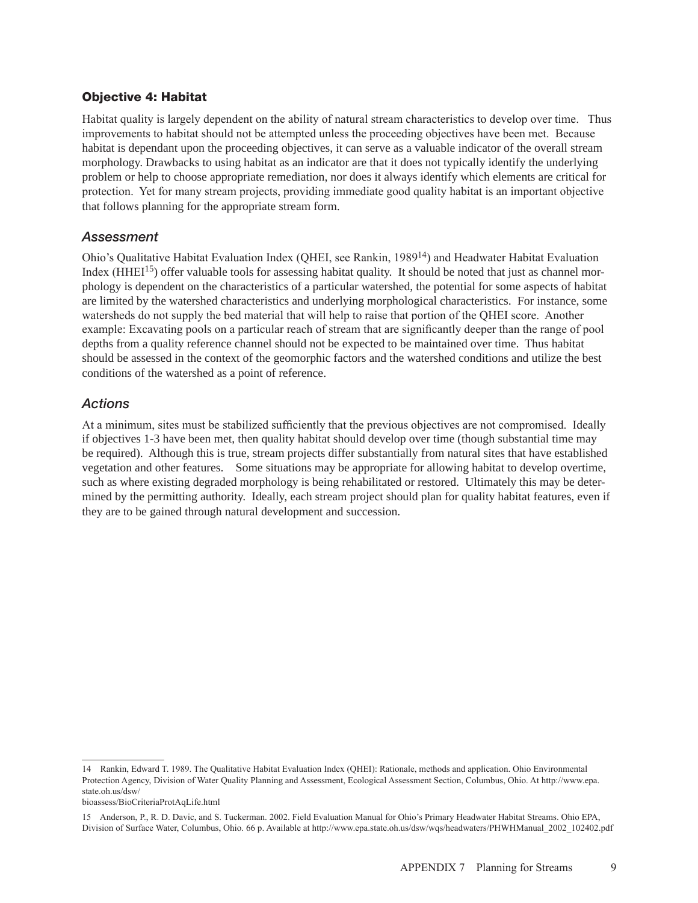### Objective 4: Habitat

Habitat quality is largely dependent on the ability of natural stream characteristics to develop over time. Thus improvements to habitat should not be attempted unless the proceeding objectives have been met. Because habitat is dependant upon the proceeding objectives, it can serve as a valuable indicator of the overall stream morphology. Drawbacks to using habitat as an indicator are that it does not typically identify the underlying problem or help to choose appropriate remediation, nor does it always identify which elements are critical for protection. Yet for many stream projects, providing immediate good quality habitat is an important objective that follows planning for the appropriate stream form.

#### *Assessment*

Ohio's Qualitative Habitat Evaluation Index (QHEI, see Rankin, 198914) and Headwater Habitat Evaluation Index  $(HHEI<sup>15</sup>)$  offer valuable tools for assessing habitat quality. It should be noted that just as channel morphology is dependent on the characteristics of a particular watershed, the potential for some aspects of habitat are limited by the watershed characteristics and underlying morphological characteristics. For instance, some watersheds do not supply the bed material that will help to raise that portion of the QHEI score. Another example: Excavating pools on a particular reach of stream that are significantly deeper than the range of pool depths from a quality reference channel should not be expected to be maintained over time. Thus habitat should be assessed in the context of the geomorphic factors and the watershed conditions and utilize the best conditions of the watershed as a point of reference.

#### *Actions*

At a minimum, sites must be stabilized sufficiently that the previous objectives are not compromised. Ideally if objectives 1-3 have been met, then quality habitat should develop over time (though substantial time may be required). Although this is true, stream projects differ substantially from natural sites that have established vegetation and other features. Some situations may be appropriate for allowing habitat to develop overtime, such as where existing degraded morphology is being rehabilitated or restored. Ultimately this may be determined by the permitting authority. Ideally, each stream project should plan for quality habitat features, even if they are to be gained through natural development and succession.

<sup>14</sup> Rankin, Edward T. 1989. The Qualitative Habitat Evaluation Index (QHEI): Rationale, methods and application. Ohio Environmental Protection Agency, Division of Water Quality Planning and Assessment, Ecological Assessment Section, Columbus, Ohio. At http://www.epa. state.oh.us/dsw/

bioassess/BioCriteriaProtAqLife.html

<sup>15</sup> Anderson, P., R. D. Davic, and S. Tuckerman. 2002. Field Evaluation Manual for Ohio's Primary Headwater Habitat Streams. Ohio EPA, Division of Surface Water, Columbus, Ohio. 66 p. Available at http://www.epa.state.oh.us/dsw/wqs/headwaters/PHWHManual\_2002\_102402.pdf